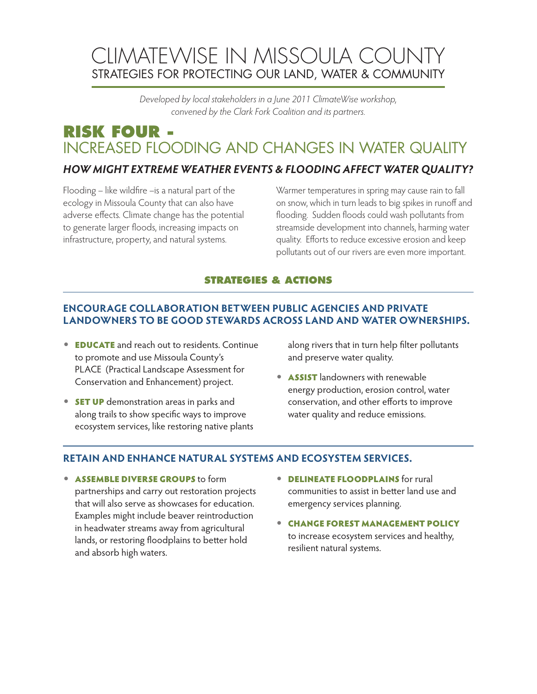# CLIMATEWISE IN MISSOULA COUNTY STRATEGIES FOR PROTECTING OUR LAND, WATER & COMMUNITY

*Developed by local stakeholders in a June 2011 ClimateWise workshop, convened by the Clark Fork Coalition and its partners.*

# **RISK FOUR -** INCREASED FLOODING AND CHANGES IN WATER QUALITY

## *HOW MIGHT EXTREME WEATHER EVENTS & FLOODING AFFECT WATER QUALITY?*

Flooding – like wildfire –is a natural part of the ecology in Missoula County that can also have adverse effects. Climate change has the potential to generate larger floods, increasing impacts on infrastructure, property, and natural systems.

Warmer temperatures in spring may cause rain to fall on snow, which in turn leads to big spikes in runoff and flooding. Sudden floods could wash pollutants from streamside development into channels, harming water quality. Efforts to reduce excessive erosion and keep pollutants out of our rivers are even more important.

#### **STRATEGIES & ACTIONS**

### **ENCOURAGE COLLABORATION BETWEEN PUBLIC AGENCIES AND PRIVATE LANDOWNERS TO BE GOOD STEWARDS ACROSS LAND AND WATER OWNERSHIPS.**

- **EDUCATE** and reach out to residents. Continue to promote and use Missoula County's PLACE (Practical Landscape Assessment for Conservation and Enhancement) project.
- **SET UP** demonstration areas in parks and along trails to show specific ways to improve ecosystem services, like restoring native plants

along rivers that in turn help filter pollutants and preserve water quality.

• **ASSIST** landowners with renewable energy production, erosion control, water conservation, and other efforts to improve water quality and reduce emissions.

### **RETAIN AND ENHANCE NATURAL SYSTEMS AND ECOSYSTEM SERVICES.**

- **ASSEMBLE DIVERSE GROUPS to form** partnerships and carry out restoration projects that will also serve as showcases for education. Examples might include beaver reintroduction in headwater streams away from agricultural lands, or restoring floodplains to better hold and absorb high waters.
- **DELINEATE FLOODPLAINS** for rural communities to assist in better land use and emergency services planning.
- **CHANGE FOREST MANAGEMENT POLICY** to increase ecosystem services and healthy, resilient natural systems.